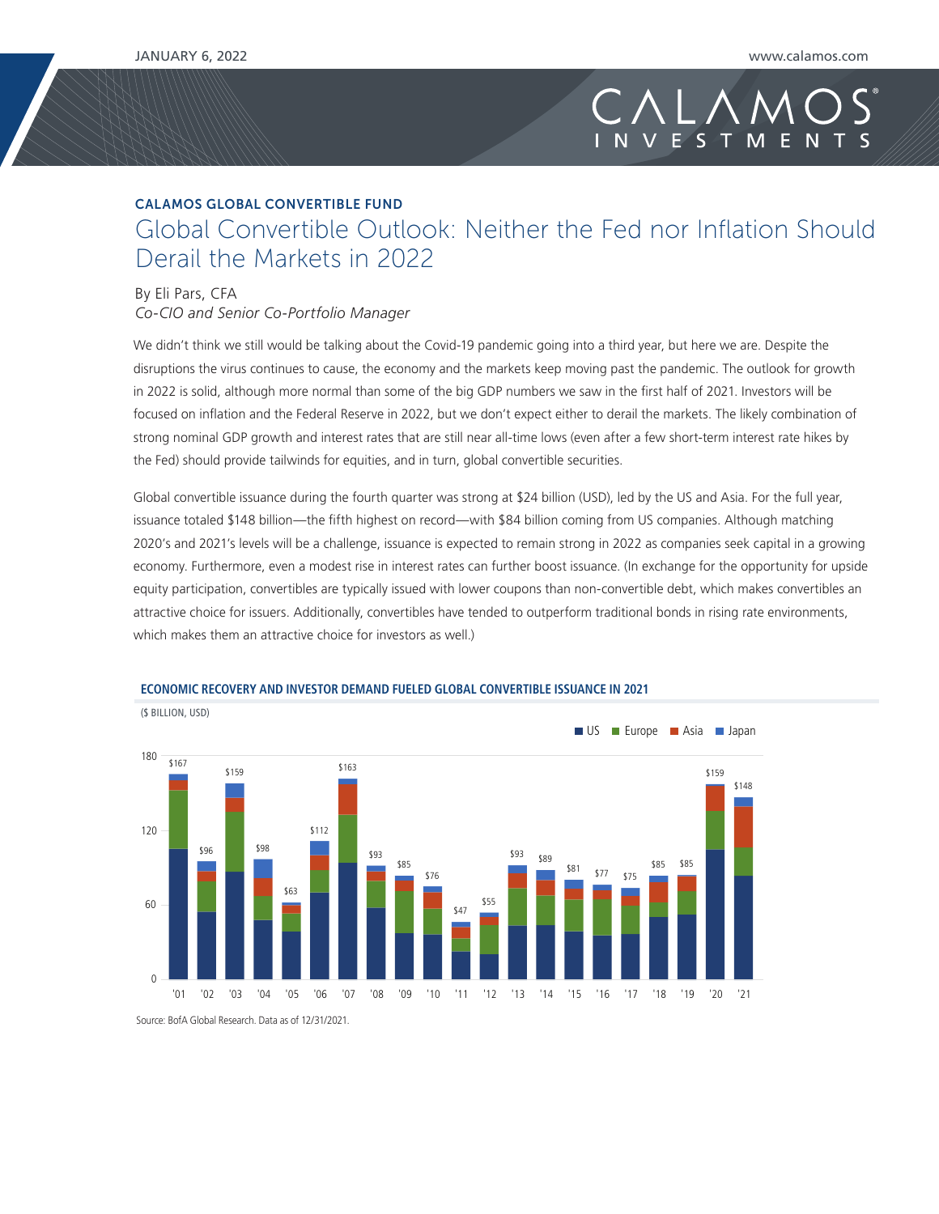## CALAMOS GLOBAL CONVERTIBLE FUND Global Convertible Outlook: Neither the Fed nor Inflation Should Derail the Markets in 2022

### By Eli Pars, CFA

(\$ BILLION, USD)

*Co-CIO and Senior Co-Portfolio Manager*

We didn't think we still would be talking about the Covid-19 pandemic going into a third year, but here we are. Despite the disruptions the virus continues to cause, the economy and the markets keep moving past the pandemic. The outlook for growth in 2022 is solid, although more normal than some of the big GDP numbers we saw in the first half of 2021. Investors will be focused on inflation and the Federal Reserve in 2022, but we don't expect either to derail the markets. The likely combination of strong nominal GDP growth and interest rates that are still near all-time lows (even after a few short-term interest rate hikes by the Fed) should provide tailwinds for equities, and in turn, global convertible securities.

Global convertible issuance during the fourth quarter was strong at \$24 billion (USD), led by the US and Asia. For the full year, issuance totaled \$148 billion—the fifth highest on record—with \$84 billion coming from US companies. Although matching 2020's and 2021's levels will be a challenge, issuance is expected to remain strong in 2022 as companies seek capital in a growing economy. Furthermore, even a modest rise in interest rates can further boost issuance. (In exchange for the opportunity for upside equity participation, convertibles are typically issued with lower coupons than non-convertible debt, which makes convertibles an attractive choice for issuers. Additionally, convertibles have tended to outperform traditional bonds in rising rate environments, which makes them an attractive choice for investors as well.)



#### **ECONOMIC RECOVERY AND INVESTOR DEMAND FUELED GLOBAL CONVERTIBLE ISSUANCE IN 2021**

Source: BofA Global Research. Data as of 12/31/2021.